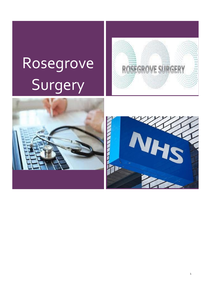# Rosegrove Surgery





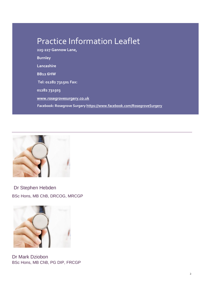# Practice Information Leaflet

**225-227 Gannow Lane, Burnley Lancashire BB12 6HW Tel: 01282 731501 Fax: 01282 731503 [www.rosegrovesurgery.co.uk](http://www.rosegrovesurgery.co.uk/) Facebook: Rosegrove Surge[ry https://www.facebook.com/RosegroveSurgery](https://www.facebook.com/RosegroveSurgery)**



BSc Hons, MB ChB, DRCOG, MRCGP Dr Stephen Hebden



Dr Mark Dziobon BSc Hons, MB ChB, PG DIP, FRCGP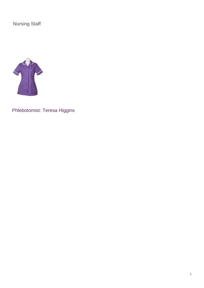Nursing Staff



Phlebotomist: Teresa Higgins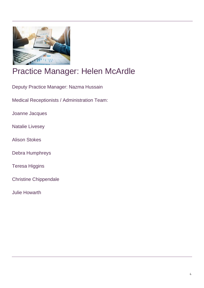

# Practice Manager: Helen McArdle

Deputy Practice Manager: Nazma Hussain

Medical Receptionists / Administration Team:

Joanne Jacques

Natalie Livesey

Alison Stokes

Debra Humphreys

Teresa Higgins

Christine Chippendale

Julie Howarth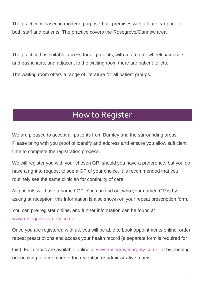The practice is based in modern, purpose-built premises with a large car park for both staff and patients. The practice covers the Rosegrove/Gannow area.

The practice has suitable access for all patients, with a ramp for wheelchair users and pushchairs, and adjacent to the waiting room there are patient toilets.

The waiting room offers a range of literature for all patient groups.

## How to Register

We are pleased to accept all patients from Burnley and the surrounding areas. Please bring with you proof of identify and address and ensure you allow sufficient time to complete the registration process.

We will register you with your chosen GP, should you have a preference, but you do have a right to request to see a GP of your choice. It is recommended that you routinely see the same clinician for continuity of care.

All patients will have a named GP. You can find out who your named GP is by asking at reception; this information is also shown on your repeat prescription form.

You can pre-register online, and further information can be found at [www.rosegrovesurgery.co.uk.](http://www.rosegrovesurgery.co.uk/) 

Once you are registered with us, you will be able to book appointments online, order repeat prescriptions and access your health record (a separate form is required for

this). Full details are available online at [www.rosegrovesurgery.co.uk](http://www.rosegrovesurgery.co.uk/) or by phoning or speaking to a member of the reception or administrative teams.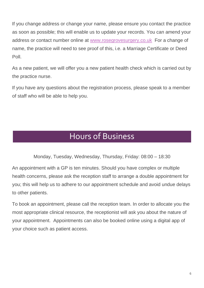If you change address or change your name, please ensure you contact the practice as soon as possible; this will enable us to update your records. You can amend your address or contact number online at [www.rosegrovesurgery.co.uk](http://www.rosegrovesurgery.co.uk/) For a change of name, the practice will need to see proof of this, i.e. a Marriage Certificate or Deed Poll.

As a new patient, we will offer you a new patient health check which is carried out by the practice nurse.

If you have any questions about the registration process, please speak to a member of staff who will be able to help you.

#### Hours of Business

Monday, Tuesday, Wednesday, Thursday, Friday: 08:00 – 18:30

An appointment with a GP is ten minutes. Should you have complex or multiple health concerns, please ask the reception staff to arrange a double appointment for you; this will help us to adhere to our appointment schedule and avoid undue delays to other patients.

To book an appointment, please call the reception team. In order to allocate you the most appropriate clinical resource, the receptionist will ask you about the nature of your appointment. Appointments can also be booked online using a digital app of your choice such as patient access.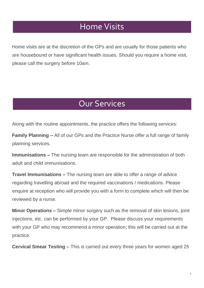#### Home Visits

Home visits are at the discretion of the GPs and are usually for those patients who are housebound or have significant health issues. Should you require a home visit, please call the surgery before 10am.

#### Our Services

Along with the routine appointments, the practice offers the following services:

**Family Planning –** All of our GPs and the Practice Nurse offer a full range of family planning services.

**Immunisations –** The nursing team are responsible for the administration of both adult and child immunisations.

**Travel Immunisations –** The nursing team are able to offer a range of advice regarding travelling abroad and the required vaccinations / medications. Please enquire at reception who will provide you with a form to complete which will then be reviewed by a nurse.

**Minor Operations –** Simple minor surgery such as the removal of skin lesions, joint injections, etc. can be performed by your GP. Please discuss your requirements with your GP who may recommend a minor operation; this will be carried out at the practice.

**Cervical Smear Testing –** This is carried out every three years for women aged 25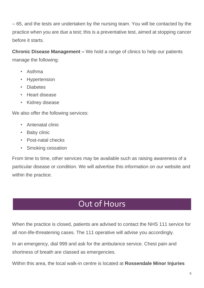– 65, and the tests are undertaken by the nursing team. You will be contacted by the practice when you are due a test; this is a preventative test, aimed at stopping cancer before it starts.

**Chronic Disease Management –** We hold a range of clinics to help our patients manage the following:

- Asthma
- Hypertension
- Diabetes
- Heart disease
- Kidney disease

We also offer the following services:

- Antenatal clinic
- Baby clinic
- Post-natal checks
- Smoking cessation

From time to time, other services may be available such as raising awareness of a particular disease or condition. We will advertise this information on our website and within the practice.

# Out of Hours

When the practice is closed, patients are advised to contact the NHS 111 service for all non-life-threatening cases. The 111 operative will advise you accordingly.

In an emergency, dial 999 and ask for the ambulance service. Chest pain and shortness of breath are classed as emergencies.

Within this area, the local walk-in centre is located at **Rossendale Minor Injuries**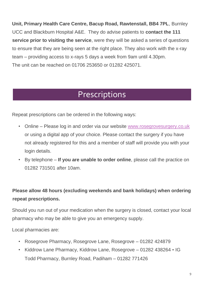**Unit, Primary Health Care Centre, Bacup Road, Rawtenstall, BB4 7PL**, Burnley UCC and Blackburn Hospital A&E. They do advise patients to **contact the 111 service prior to visiting the service**, were they will be asked a series of questions to ensure that they are being seen at the right place. They also work with the x-ray team – providing access to x-rays 5 days a week from 9am until 4.30pm. The unit can be reached on 01706 253650 or 01282 425071.

#### Prescriptions

Repeat prescriptions can be ordered in the following ways:

- Online Please log in and order via our website [www.rosegrovesurgery.co.uk](http://www.rosegrovesurgery.co.uk/) or using a digital app of your choice. Please contact the surgery if you have not already registered for this and a member of staff will provide you with your login details.
- By telephone **If you are unable to order online**, please call the practice on 01282 731501 after 10am.

#### **Please allow 48 hours (excluding weekends and bank holidays) when ordering repeat prescriptions.**

Should you run out of your medication when the surgery is closed, contact your local pharmacy who may be able to give you an emergency supply.

Local pharmacies are:

- Rosegrove Pharmacy, Rosegrove Lane, Rosegrove 01282 424879
- Kiddrow Lane Pharmacy, Kiddrow Lane, Rosegrove 01282 438264 IG Todd Pharmacy, Burnley Road, Padiham – 01282 771426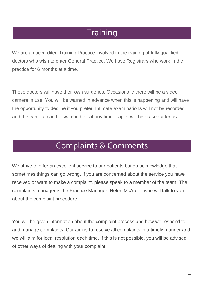## **Training**

We are an accredited Training Practice involved in the training of fully qualified doctors who wish to enter General Practice. We have Registrars who work in the practice for 6 months at a time.

These doctors will have their own surgeries. Occasionally there will be a video camera in use. You will be warned in advance when this is happening and will have the opportunity to decline if you prefer. Intimate examinations will not be recorded and the camera can be switched off at any time. Tapes will be erased after use.

# Complaints & Comments

We strive to offer an excellent service to our patients but do acknowledge that sometimes things can go wrong. If you are concerned about the service you have received or want to make a complaint, please speak to a member of the team. The complaints manager is the Practice Manager, Helen McArdle, who will talk to you about the complaint procedure.

You will be given information about the complaint process and how we respond to and manage complaints. Our aim is to resolve all complaints in a timely manner and we will aim for local resolution each time. If this is not possible, you will be advised of other ways of dealing with your complaint.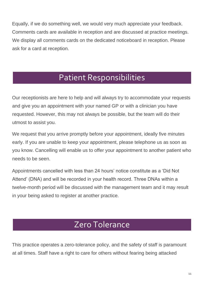Equally, if we do something well, we would very much appreciate your feedback. Comments cards are available in reception and are discussed at practice meetings. We display all comments cards on the dedicated noticeboard in reception. Please ask for a card at reception.

# Patient Responsibilities

Our receptionists are here to help and will always try to accommodate your requests and give you an appointment with your named GP or with a clinician you have requested. However, this may not always be possible, but the team will do their utmost to assist you.

We request that you arrive promptly before your appointment, ideally five minutes early. If you are unable to keep your appointment, please telephone us as soon as you know. Cancelling will enable us to offer your appointment to another patient who needs to be seen.

Appointments cancelled with less than 24 hours' notice constitute as a 'Did Not Attend' (DNA) and will be recorded in your health record. Three DNAs within a twelve-month period will be discussed with the management team and it may result in your being asked to register at another practice.

#### Zero Tolerance

This practice operates a zero-tolerance policy, and the safety of staff is paramount at all times. Staff have a right to care for others without fearing being attacked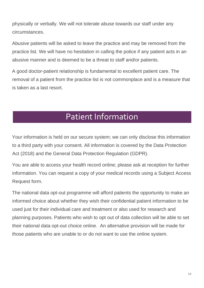physically or verbally. We will not tolerate abuse towards our staff under any circumstances.

Abusive patients will be asked to leave the practice and may be removed from the practice list. We will have no hesitation in calling the police if any patient acts in an abusive manner and is deemed to be a threat to staff and/or patients.

A good doctor-patient relationship is fundamental to excellent patient care. The removal of a patient from the practice list is not commonplace and is a measure that is taken as a last resort.

# Patient Information

Your information is held on our secure system; we can only disclose this information to a third party with your consent. All information is covered by the Data Protection Act (2018) and the General Data Protection Regulation (GDPR).

You are able to access your health record online; please ask at reception for further information. You can request a copy of your medical records using a Subject Access Request form.

The national data opt-out programme will afford patients the opportunity to make an informed choice about whether they wish their confidential patient information to be used just for their individual care and treatment or also used for research and planning purposes. Patients who wish to opt out of data collection will be able to set their national data opt-out choice online. An alternative provision will be made for those patients who are unable to or do not want to use the online system.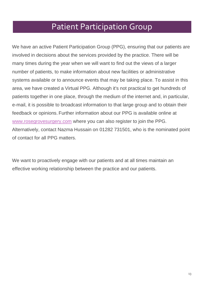#### Patient Participation Group

We have an active Patient Participation Group (PPG), ensuring that our patients are involved in decisions about the services provided by the practice. There will be many times during the year when we will want to find out the views of a larger number of patients, to make information about new facilities or administrative systems available or to announce events that may be taking place. To assist in this area, we have created a Virtual PPG. Although it's not practical to get hundreds of patients together in one place, through the medium of the internet and, in particular, e-mail, it is possible to broadcast information to that large group and to obtain their feedback or opinions. Further information about our PPG is available online at [www.rosegrovesurgery.com](http://www.rosegrovesurgery.com/) where you can also register to join the PPG. Alternatively, contact Nazma Hussain on 01282 731501, who is the nominated point of contact for all PPG matters.

We want to proactively engage with our patients and at all times maintain an effective working relationship between the practice and our patients.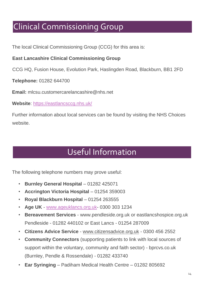# Clinical Commissioning Group

The local Clinical Commissioning Group (CCG) for this area is:

#### **East Lancashire Clinical Commissioning Group**

CCG HQ, Fusion House, Evolution Park, Haslingden Road, Blackburn, BB1 2FD

**Telephone:** 01282 644700

**Email:** mlcsu.customercarelancashire@nhs.net

**Website**:<https://eastlancsccg.nhs.uk/>

Further information about local services can be found by visiting the NHS Choices website.

# Useful Information

The following telephone numbers may prove useful:

- **Burnley General Hospital** 01282 425071
- **Accrington Victoria Hospital** 01254 359003
- **Royal Blackburn Hospital** 01254 263555
- **Age UK** [-](http://www.ageuklancs.org.uk/) [www.ageuklancs.org.uk-](http://www.ageuklancs.org.uk/) 0300 303 1234
- **Bereavement Services** www.pendleside.org.uk or eastlancshospice.org.uk Pendleside - 01282 440102 or East Lancs - 01254 287009
- **Citizens Advice Service** [-](http://www.citizensadvice.org.uk/) [www.citizensadvice.org.uk](http://www.citizensadvice.org.uk/) [-](http://www.citizensadvice.org.uk/) 0300 456 2552
- **Community Connectors** (supporting patients to link with local sources of support within the voluntary, community and faith sector) - bprcvs.co.uk (Burnley, Pendle & Rossendale) - 01282 433740
- **Ear Syringing** Padiham Medical Health Centre 01282 805692